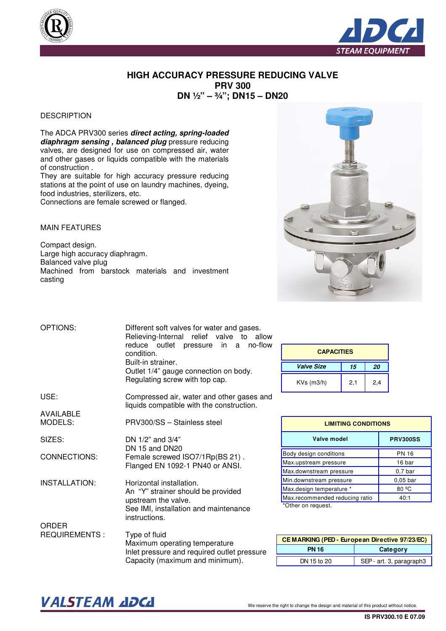



## **HIGH ACCURACY PRESSURE REDUCING VALVE PRV 300 DN ½" – ¾"; DN15 – DN20**

## **DESCRIPTION**

The ADCA PRV300 series **direct acting, spring-loaded diaphragm sensing , balanced plug** pressure reducing valves, are designed for use on compressed air, water and other gases or liquids compatible with the materials of construction .

They are suitable for high accuracy pressure reducing stations at the point of use on laundry machines, dyeing, food industries, sterilizers, etc. Connections are female screwed or flanged.

MAIN FEATURES

AVAILABLE

Compact design. Large high accuracy diaphragm. Balanced valve plug Machined from barstock materials and investment casting



| OPTIONS: | Different soft valves for water and gases. |  |  |  |  |  |  |  |
|----------|--------------------------------------------|--|--|--|--|--|--|--|
|          | Relieving-Internal relief valve to allow   |  |  |  |  |  |  |  |
|          | reduce outlet pressure in a no-flow        |  |  |  |  |  |  |  |
|          | condition.                                 |  |  |  |  |  |  |  |
|          | Built-in strainer.                         |  |  |  |  |  |  |  |
|          | Outlet 1/4" gauge connection on body.      |  |  |  |  |  |  |  |
|          | Regulating screw with top cap.             |  |  |  |  |  |  |  |

USE: Compressed air, water and other gases and liquids compatible with the construction.

MODELS: PRV300/SS – Stainless steel

SIZES: CONNECTIONS: DN 1/2" and 3/4" DN 15 and DN20 Female screwed ISO7/1Rp(BS 21) . Flanged EN 1092-1 PN40 or ANSI.

INSTALLATION: Horizontal installation. An "Y" strainer should be provided upstream the valve. See IMI, installation and maintenance instructions.

ORDER REQUIREMENTS : Type of fluid Maximum operating temperature Inlet pressure and required outlet pressure Capacity (maximum and minimum).

| <b>CAPACITIES</b> |     |     |  |  |  |  |  |
|-------------------|-----|-----|--|--|--|--|--|
| Valve Size        | 15  | 20  |  |  |  |  |  |
| $KVs$ (m $3/h$ )  | 2,1 | 2,4 |  |  |  |  |  |

| <b>LIMITING CONDITIONS</b>     |                     |  |  |  |  |  |
|--------------------------------|---------------------|--|--|--|--|--|
| Valve model                    | <b>PRV300SS</b>     |  |  |  |  |  |
| Body design conditions         | <b>PN 16</b>        |  |  |  |  |  |
| Max.upstream pressure          | 16 bar              |  |  |  |  |  |
| Max.downstream pressure        | 0.7 <sub>bar</sub>  |  |  |  |  |  |
| Min.downstream pressure        | 0.05 <sub>bar</sub> |  |  |  |  |  |
| Max.design temperature *       | 80 <sup>o</sup> C   |  |  |  |  |  |
| Max.recommended reducing ratio | 40:1                |  |  |  |  |  |

\*Other on request.

| <b>CEMARKING (PED - European Directive 97/23/EC)</b> |                          |  |  |  |  |  |
|------------------------------------------------------|--------------------------|--|--|--|--|--|
| <b>PN 16</b>                                         | Category                 |  |  |  |  |  |
| DN 15 to 20                                          | SEP - art. 3, paragraph3 |  |  |  |  |  |

## $\bm{VALSTEAM}$  and  $\bm{DCL}$  we reserve the right to change the design and material of this product without notice.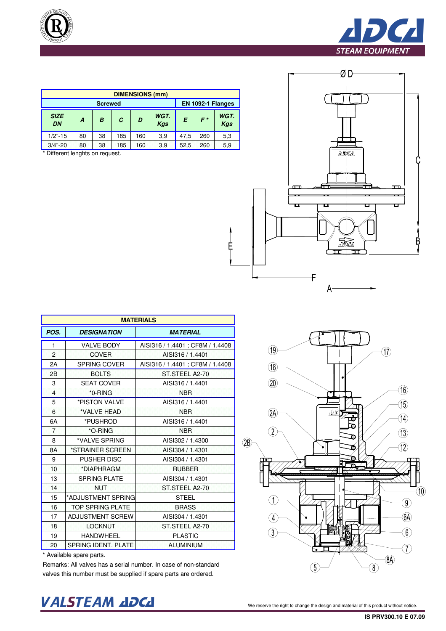





| <b>DIMENSIONS (mm)</b> |    |    |     |     |             |      |                   |                    |  |
|------------------------|----|----|-----|-----|-------------|------|-------------------|--------------------|--|
| <b>Screwed</b>         |    |    |     |     |             |      | EN 1092-1 Flanges |                    |  |
| <b>SIZE</b><br>DN      | A  | B  | C   | D   | WGT.<br>Kgs | E    | $F^*$             | WGT.<br><b>Kgs</b> |  |
| $1/2$ "-15             | 80 | 38 | 185 | 160 | 3,9         | 47.5 | 260               | 5,3                |  |
| $3/4$ "-20             | 80 | 38 | 185 | 160 | 3.9         | 52,5 | 260               | 5,9                |  |

\* Different lenghts on request.

| <b>MATERIALS</b> |                         |                                  |  |  |  |  |  |  |
|------------------|-------------------------|----------------------------------|--|--|--|--|--|--|
| POS.             | <b>DESIGNATION</b>      | <b>MATERIAL</b>                  |  |  |  |  |  |  |
| 1                | <b>VALVE BODY</b>       | AISI316 / 1.4401 ; CF8M / 1.4408 |  |  |  |  |  |  |
| $\overline{2}$   | <b>COVER</b>            | AISI316 / 1.4401                 |  |  |  |  |  |  |
| 2A               | SPRING COVER            | AISI316 / 1.4401 ; CF8M / 1.4408 |  |  |  |  |  |  |
| 2B               | <b>BOLTS</b>            | ST.STEEL A2-70                   |  |  |  |  |  |  |
| 3                | <b>SEAT COVER</b>       | AISI316 / 1.4401                 |  |  |  |  |  |  |
| $\overline{4}$   | *0-RING                 | <b>NBR</b>                       |  |  |  |  |  |  |
| 5                | *PISTON VALVE           | AISI316 / 1.4401                 |  |  |  |  |  |  |
| 6                | *VALVE HEAD             | <b>NBR</b>                       |  |  |  |  |  |  |
| 6A               | *PUSHROD                | AISI316 / 1.4401                 |  |  |  |  |  |  |
| $\overline{7}$   | *O-RING                 | <b>NBR</b>                       |  |  |  |  |  |  |
| 8                | *VALVE SPRING           | AISI302 / 1.4300                 |  |  |  |  |  |  |
| 8A               | *STRAINER SCREEN        | AISI304 / 1.4301                 |  |  |  |  |  |  |
| 9                | <b>PUSHER DISC</b>      | AISI304 / 1.4301                 |  |  |  |  |  |  |
| 10               | *DIAPHRAGM              | <b>RUBBER</b>                    |  |  |  |  |  |  |
| 13               | <b>SPRING PLATE</b>     | AISI304 / 1.4301                 |  |  |  |  |  |  |
| 14               | <b>NUT</b>              | ST.STEEL A2-70                   |  |  |  |  |  |  |
| 15               | *ADJUSTMENT SPRING      | <b>STEEL</b>                     |  |  |  |  |  |  |
| 16               | <b>TOP SPRING PLATE</b> | <b>BRASS</b>                     |  |  |  |  |  |  |
| 17               | <b>ADJUSTMENT SCREW</b> | AISI304 / 1.4301                 |  |  |  |  |  |  |
| 18               | <b>LOCKNUT</b>          | ST.STEEL A2-70                   |  |  |  |  |  |  |
| 19               | <b>HANDWHEEL</b>        | <b>PLASTIC</b>                   |  |  |  |  |  |  |
| 20               | SPRING IDENT. PLATE     | <b>ALUMINIUM</b>                 |  |  |  |  |  |  |

\* Available spare parts.

Remarks: All valves has a serial number. In case of non-standard valves this number must be supplied if spare parts are ordered.

## VALSTEAM ADCA We reserve the right to change the design and material of this product without notice.